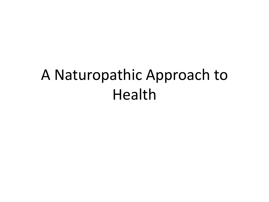# A Naturopathic Approach to Health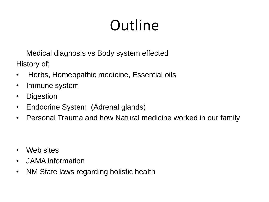# **Outline**

Medical diagnosis vs Body system effected History of;

- Herbs, Homeopathic medicine, Essential oils
- Immune system
- Digestion
- Endocrine System (Adrenal glands)
- Personal Trauma and how Natural medicine worked in our family

- Web sites
- JAMA information
- NM State laws regarding holistic health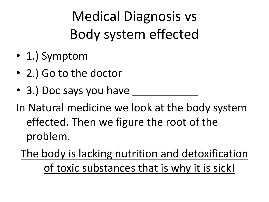Medical Diagnosis vs Body system effected

- 1.) Symptom
- 2.) Go to the doctor
- 3.) Doc says you have \_

In Natural medicine we look at the body system effected. Then we figure the root of the problem.

The body is lacking nutrition and detoxification of toxic substances that is why it is sick!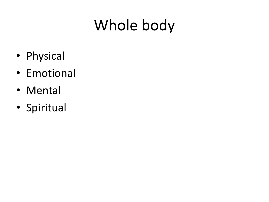# Whole body

- Physical
- Emotional
- Mental
- Spiritual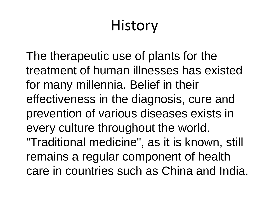# **History**

The therapeutic use of plants for the treatment of human illnesses has existed for many millennia. Belief in their effectiveness in the diagnosis, cure and prevention of various diseases exists in every culture throughout the world. "Traditional medicine", as it is known, still remains a regular component of health care in countries such as China and India.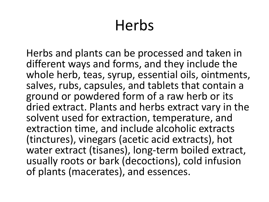# Herbs

Herbs and plants can be processed and taken in different ways and forms, and they include the whole herb, teas, syrup, essential oils, ointments, salves, rubs, capsules, and tablets that contain a ground or powdered form of a raw herb or its dried extract. Plants and herbs extract vary in the solvent used for extraction, temperature, and extraction time, and include alcoholic extracts (tinctures), vinegars (acetic acid extracts), hot water extract (tisanes), long-term boiled extract, usually roots or bark (decoctions), cold infusion of plants (macerates), and essences.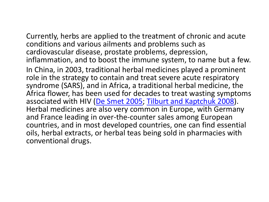Currently, herbs are applied to the treatment of chronic and acute conditions and various ailments and problems such as cardiovascular disease, prostate problems, depression, inflammation, and to boost the immune system, to name but a few.

In China, in 2003, traditional herbal medicines played a prominent role in the strategy to contain and treat severe acute respiratory syndrome (SARS), and in Africa, a traditional herbal medicine, the Africa flower, has been used [fo](http://www.ncbi.nlm.nih.gov/books/NBK92773/)r decades t[o](http://www.ncbi.nlm.nih.gov/books/NBK92773/) treat wasting [s](http://www.ncbi.nlm.nih.gov/books/NBK92773/)ymptoms associated with HIV ([De Smet](http://www.ncbi.nlm.nih.gov/books/NBK92773/) [2005](http://www.ncbi.nlm.nih.gov/books/NBK92773/); [Tilburt](http://www.ncbi.nlm.nih.gov/books/NBK92773/) [and Kaptchuk](http://www.ncbi.nlm.nih.gov/books/NBK92773/) [2008\)](http://www.ncbi.nlm.nih.gov/books/NBK92773/). Herbal medicines are also very common in Europe, with Germany and France leading in over-the-counter sales among European countries, and in most developed countries, one can find essential oils, herbal extracts, or herbal teas being sold in pharmacies with conventional drugs.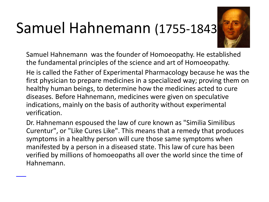# Samuel Hahnemann (1755-1843)



Samuel Hahnemann was the founder of Homoeopathy. He established the fundamental principles of the science and art of Homoeopathy.

He is called the Father of Experimental Pharmacology because he was the first physician to prepare medicines in a specialized way; proving them on healthy human beings, to determine how the medicines acted to cure diseases. Before Hahnemann, medicines were given on speculative indications, mainly on the basis of authority without experimental verification.

Dr. Hahnemann espoused the law of cure known as "Similia Similibus Curentur", or "Like Cures Like". This means that a remedy that produces symptoms in a healthy person will cure those same symptoms when manifested by a person in a diseased state. This law of cure has been verified by millions of homoeopaths all over the world since the time of Hahnemann.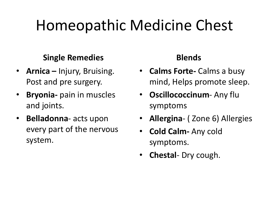# Homeopathic Medicine Chest

### **Single Remedies**

- **Arnica –** Injury, Bruising. Post and pre surgery.
- **Bryonia-** pain in muscles and joints.
- **Belladonna** acts upon every part of the nervous system.

### **Blends**

- **Calms Forte-** Calms a busy mind, Helps promote sleep.
- **Oscillococcinum** Any flu symptoms
- **Allergina** ( Zone 6) Allergies
- **Cold Calm-** Any cold symptoms.
- **Chestal** Dry cough.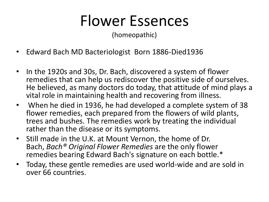# Flower Essences

(homeopathic)

- Edward Bach MD Bacteriologist Born 1886-Died1936
- In the 1920s and 30s, Dr. Bach, discovered a system of flower remedies that can help us rediscover the positive side of ourselves. He believed, as many doctors do today, that attitude of mind plays a vital role in maintaining health and recovering from illness.
- When he died in 1936, he had developed a complete system of 38 flower remedies, each prepared from the flowers of wild plants, trees and bushes. The remedies work by treating the individual rather than the disease or its symptoms.
- Still made in the U.K. at Mount Vernon, the home of Dr. Bach, *Bach® Original Flower Remedies* are the only flower remedies bearing Edward Bach's signature on each bottle.\*
- Today, these gentle remedies are used world-wide and are sold in over 66 countries.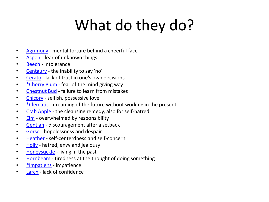# What do they do?

- [Agrimony](http://www.bachcentre.com/centre/38/agrimony.htm) mental torture behind a cheerful face
- [Aspen](http://www.bachcentre.com/centre/38/aspen.htm) fear of unknown things
- [Beech](http://www.bachcentre.com/centre/38/beech.htm) intolerance
- [Centaury](http://www.bachcentre.com/centre/38/centaury.htm) the inability to say 'no'
- [Cerato](http://www.bachcentre.com/centre/38/cerato.htm) lack of trust in one's own decisions
- [\\*Cherry Plum](http://www.bachcentre.com/centre/38/cherrypl.htm) fear of the mind giving way
- [Chestnut Bud](http://www.bachcentre.com/centre/38/chestbud.htm) failure to learn from mistakes
- [Chicory](http://www.bachcentre.com/centre/38/chicory.htm) selfish, possessive love
- [\\*Clematis](http://www.bachcentre.com/centre/38/clematis.htm) dreaming of the future without working in the present
- [Crab Apple](http://www.bachcentre.com/centre/38/crabappl.htm) the cleansing remedy, also for self-hatred
- [Elm](http://www.bachcentre.com/centre/38/elm.htm) overwhelmed by responsibility
- [Gentian](http://www.bachcentre.com/centre/38/gentian.htm) discouragement after a setback
- [Gorse](http://www.bachcentre.com/centre/38/gorse.htm) hopelessness and despair
- [Heather](http://www.bachcentre.com/centre/38/heather.htm) self-centerdness and self-concern
- [Holly](http://www.bachcentre.com/centre/38/holly.htm) hatred, envy and jealousy
- [Honeysuckle](http://www.bachcentre.com/centre/38/honeysuc.htm) living in the past
- [Hornbeam](http://www.bachcentre.com/centre/38/hornbeam.htm) tiredness at the thought of doing something
- [\\*Impatiens](http://www.bachcentre.com/centre/38/impatien.htm) impatience
- [Larch](http://www.bachcentre.com/centre/38/larch.htm) lack of confidence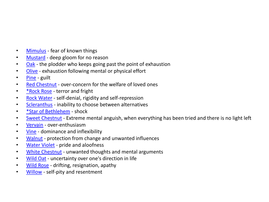- [Mimulus](http://www.bachcentre.com/centre/38/mimulus.htm) fear of known things
- [Mustard](http://www.bachcentre.com/centre/38/mustard.htm) deep gloom for no reason
- [Oak](http://www.bachcentre.com/centre/38/oak.htm) the plodder who keeps going past the point of exhaustion
- [Olive](http://www.bachcentre.com/centre/38/olive.htm) exhaustion following mental or physical effort
- [Pine](http://www.bachcentre.com/centre/38/pine.htm) guilt
- [Red Chestnut](http://www.bachcentre.com/centre/38/redchest.htm) over-concern for the welfare of loved ones
- \* Rock Rose terror and fright
- [Rock Water](http://www.bachcentre.com/centre/38/rockwate.htm) self-denial, rigidity and self-repression
- [Scleranthus](http://www.bachcentre.com/centre/38/sclerant.htm) inability to choose between alternatives
- [\\*Star of Bethlehem](http://www.bachcentre.com/centre/38/starbeth.htm) shock
- [Sweet Chestnut](http://www.bachcentre.com/centre/38/swchest.htm) Extreme mental anguish, when everything has been tried and there is no light left
- [Vervain](http://www.bachcentre.com/centre/38/vervain.htm) over-enthusiasm
- [Vine](http://www.bachcentre.com/centre/38/vine.htm) dominance and inflexibility
- [Walnut](http://www.bachcentre.com/centre/38/walnut.htm) protection from change and unwanted influences
- [Water Violet](http://www.bachcentre.com/centre/38/watervio.htm) pride and aloofness
- [White Chestnut](http://www.bachcentre.com/centre/38/whiteche.htm) unwanted thoughts and mental arguments
- [Wild Oat](http://www.bachcentre.com/centre/38/wildoat.htm) uncertainty over one's direction in life
- [Wild Rose](http://www.bachcentre.com/centre/38/wildrose.htm) drifting, resignation, apathy
- [Willow](http://www.bachcentre.com/centre/38/willow.htm) self-pity and resentment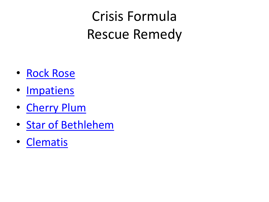Crisis Formula Rescue Remedy

- [Rock Rose](http://www.bachcentre.com/centre/38/rockrose.htm)
- [Impatiens](http://www.bachcentre.com/centre/38/impatien.htm)
- [Cherry Plum](http://www.bachcentre.com/centre/38/cherrypl.htm)
- [Star of Bethlehem](http://www.bachcentre.com/centre/38/starbeth.htm)
- [Clematis](http://www.bachcentre.com/centre/38/clematis.htm)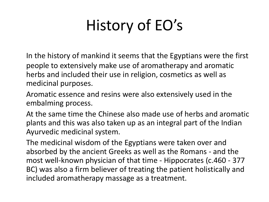# History of EO's

In the history of mankind it seems that the Egyptians were the first people to extensively make use of aromatherapy and aromatic herbs and included their use in religion, cosmetics as well as medicinal purposes.

Aromatic essence and resins were also extensively used in the embalming process.

At the same time the Chinese also made use of herbs and aromatic plants and this was also taken up as an integral part of the Indian Ayurvedic medicinal system.

The medicinal wisdom of the Egyptians were taken over and absorbed by the ancient Greeks as well as the Romans - and the most well-known physician of that time - Hippocrates (c.460 - 377 BC) was also a firm believer of treating the patient holistically and included aromatherapy massage as a treatment.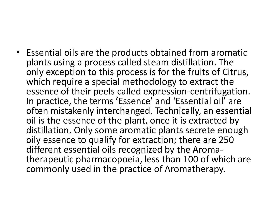• Essential oils are the products obtained from aromatic plants using a process called steam distillation. The only exception to this process is for the fruits of Citrus, which require a special methodology to extract the essence of their peels called expression-centrifugation. In practice, the terms 'Essence' and 'Essential oil' are often mistakenly interchanged. Technically, an essential oil is the essence of the plant, once it is extracted by distillation. Only some aromatic plants secrete enough oily essence to qualify for extraction; there are 250 different essential oils recognized by the Aromatherapeutic pharmacopoeia, less than 100 of which are commonly used in the practice of Aromatherapy.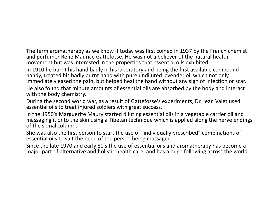The term aromatherapy as we know it today was first coined in 1937 by the French chemist and perfumer Rene Maurice Gattefosse. He was not a believer of the natural health movement but was interested in the properties that essential oils exhibited.

In 1910 he burnt his hand badly in his laboratory and being the first available compound handy, treated his badly burnt hand with pure undiluted lavender oil which not only immediately eased the pain, but helped heal the hand without any sign of infection or scar. He also found that minute amounts of essential oils are absorbed by the body and interact with the body chemistry.

During the second world war, as a result of Gattefosse's experiments, Dr. Jean Valet used essential oils to treat injured soldiers with great success.

In the 1950's Marguerite Maury started diluting essential oils in a vegetable carrier oil and massaging it onto the skin using a Tibetan technique which is applied along the nerve endings of the spinal column.

She was also the first person to start the use of "individually prescribed" combinations of essential oils to suit the need of the person being massaged.

Since the late 1970 and early 80's the use of essential oils and aromatherapy has become a major part of alternative and holistic health care, and has a huge following across the world.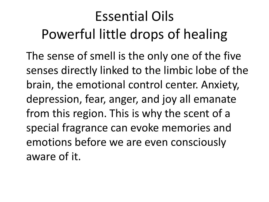# Essential Oils Powerful little drops of healing

The sense of smell is the only one of the five senses directly linked to the limbic lobe of the brain, the emotional control center. Anxiety, depression, fear, anger, and joy all emanate from this region. This is why the scent of a special fragrance can evoke memories and emotions before we are even consciously aware of it.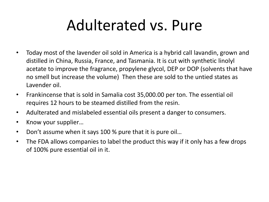# Adulterated vs. Pure

- Today most of the lavender oil sold in America is a hybrid call lavandin, grown and distilled in China, Russia, France, and Tasmania. It is cut with synthetic linolyl acetate to improve the fragrance, propylene glycol, DEP or DOP (solvents that have no smell but increase the volume) Then these are sold to the untied states as Lavender oil.
- Frankincense that is sold in Samalia cost 35,000.00 per ton. The essential oil requires 12 hours to be steamed distilled from the resin.
- Adulterated and mislabeled essential oils present a danger to consumers.
- Know your supplier...
- Don't assume when it says 100 % pure that it is pure oil…
- The FDA allows companies to label the product this way if it only has a few drops of 100% pure essential oil in it.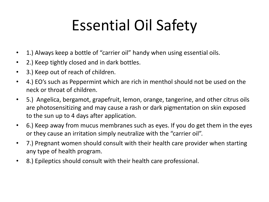# Essential Oil Safety

- 1.) Always keep a bottle of "carrier oil" handy when using essential oils.
- 2.) Keep tightly closed and in dark bottles.
- 3.) Keep out of reach of children.
- 4.) EO's such as Peppermint which are rich in menthol should not be used on the neck or throat of children.
- 5.) Angelica, bergamot, grapefruit, lemon, orange, tangerine, and other citrus oils are photosensitizing and may cause a rash or dark pigmentation on skin exposed to the sun up to 4 days after application.
- 6.) Keep away from mucus membranes such as eyes. If you do get them in the eyes or they cause an irritation simply neutralize with the "carrier oil".
- 7.) Pregnant women should consult with their health care provider when starting any type of health program.
- 8.) Epileptics should consult with their health care professional.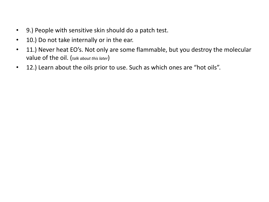- 9.) People with sensitive skin should do a patch test.
- 10.) Do not take internally or in the ear.
- 11.) Never heat EO's. Not only are some flammable, but you destroy the molecular value of the oil. (*talk about this later*)
- 12.) Learn about the oils prior to use. Such as which ones are "hot oils".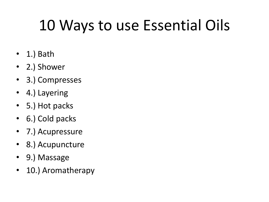# 10 Ways to use Essential Oils

- 1.) Bath
- 2.) Shower
- 3.) Compresses
- 4.) Layering
- 5.) Hot packs
- 6.) Cold packs
- 7.) Acupressure
- 8.) Acupuncture
- 9.) Massage
- 10.) Aromatherapy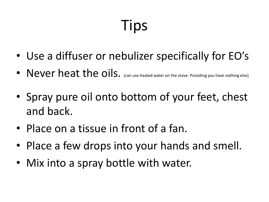# Tips

- Use a diffuser or nebulizer specifically for EO's
- Never heat the oils. (can use heated water on the stove. Providing you have nothing else)
- Spray pure oil onto bottom of your feet, chest and back.
- Place on a tissue in front of a fan.
- Place a few drops into your hands and smell.
- Mix into a spray bottle with water.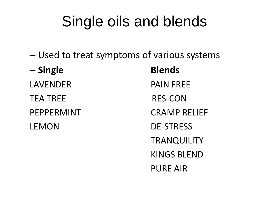# Single oils and blends

– Used to treat symptoms of various systems

| – Single        | <b>Blends</b>       |
|-----------------|---------------------|
| <b>LAVENDER</b> | <b>PAIN FREE</b>    |
| <b>TEA TREE</b> | <b>RES-CON</b>      |
| PEPPERMINT      | <b>CRAMP RELIEF</b> |
| <b>LEMON</b>    | <b>DE-STRESS</b>    |
|                 | <b>TRANQUILITY</b>  |
|                 | <b>KINGS BLEND</b>  |

PURE AIR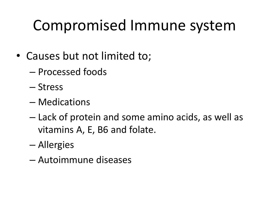# Compromised Immune system

- Causes but not limited to;
	- Processed foods
	- Stress
	- Medications
	- Lack of protein and some amino acids, as well as vitamins A, E, B6 and folate.
	- Allergies
	- Autoimmune diseases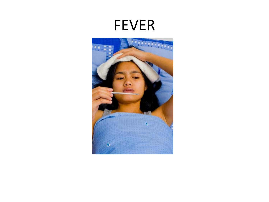# FEVER

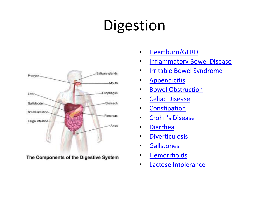# Digestion



The Components of the Digestive System

- [Heartburn/GERD](http://www.webmd.com/heartburn-gerd/default.htm)
- [Inflammatory Bowel Disease](http://www.webmd.com/ibd-crohns-disease/default.htm)
- [Irritable Bowel Syndrome](http://www.webmd.com/ibs/default.htm)
- [Appendicitis](http://www.webmd.com/digestive-disorders/digestive-diseases-appendicitis)
- [Bowel Obstruction](http://www.webmd.com/digestive-disorders/tc/bowel-obstruction-topic-overview)
- [Celiac Disease](http://www.webmd.com/digestive-disorders/celiac-disease/default.htm)
- [Constipation](http://www.webmd.com/digestive-disorders/digestive-diseases-constipation)
- [Crohn's](http://www.webmd.com/ibd-crohns-disease/crohns-disease/default.htm) [Disease](http://www.webmd.com/ibd-crohns-disease/crohns-disease/default.htm)
- [Diarrhea](http://www.webmd.com/digestive-disorders/digestive-diseases-diarrhea)
- [Diverticulosis](http://www.webmd.com/digestive-disorders/diverticular-disease)
- [Gallstones](http://www.webmd.com/digestive-disorders/gallstones)
- **[Hemorrhoids](http://www.webmd.com/a-to-z-guides/understanding-hemorrhoids-basics)**
- [Lactose Intolerance](http://www.webmd.com/digestive-disorders/lactose-intolerance-10/default.htm)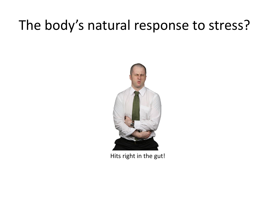## The body's natural response to stress?



Hits right in the gut!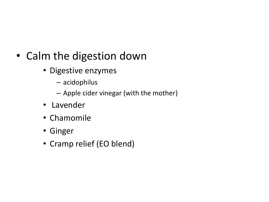### • Calm the digestion down

- Digestive enzymes
	- acidophilus
	- Apple cider vinegar (with the mother)
- Lavender
- Chamomile
- Ginger
- Cramp relief (EO blend)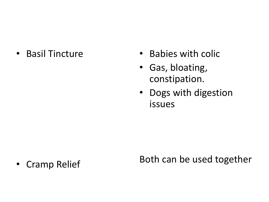• Basil Tincture

- Babies with colic
- Gas, bloating, constipation.
- Dogs with digestion issues

### Both can be used together

• Cramp Relief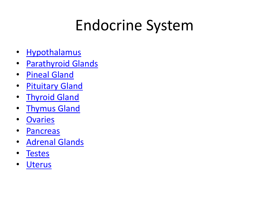# Endocrine System

- [Hypothalamus](http://www.innerbody.com/image_endo01/endo03.html)
- [Parathyroid Glands](http://www.innerbody.com/image_endo04/endo04.html)
- [Pineal Gland](http://www.innerbody.com/image_nerv02/nerv64-new.html)
- [Pituitary Gland](http://www.innerbody.com/image/endo01.html)
- [Thyroid Gland](http://www.innerbody.com/image_dige01/endo04.html)
- [Thymus Gland](http://www.innerbody.com/image_endoov/lymp04-new.html)
- [Ovaries](http://www.innerbody.com/image_endoov/repo07-new2.html)
- [Pancreas](http://www.innerbody.com/image/endo03.html)
- [Adrenal Glands](http://www.innerbody.com/image/endo02.html)
- [Testes](http://www.innerbody.com/image_endoov/repo10-new2.html)
- [Uterus](http://www.innerbody.com/image_repfov/repo11-new.html)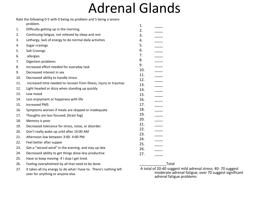### Adrenal Glands

| Rate the following 0-5 with 0 being no problem and 5 being a severe |                                                                  |            |                                  |  |
|---------------------------------------------------------------------|------------------------------------------------------------------|------------|----------------------------------|--|
|                                                                     | problem.                                                         | 1.         |                                  |  |
| 1.                                                                  | Difficulty getting up in the morning.                            | 2.         |                                  |  |
| 2.                                                                  | Continuing fatigue, not relieved by sleep and rest               | 3.         |                                  |  |
| 3.                                                                  | Lethargy, lack of energy to do normal daily activities           | 4.         | $\overline{\phantom{a}}$         |  |
| 4.                                                                  | Sugar cravings                                                   | 5.         |                                  |  |
| 5.                                                                  | <b>Salt Cravings</b>                                             | 6.         |                                  |  |
| 6.                                                                  | allergies                                                        | 7.         | $\overline{\phantom{a}}$         |  |
| 7.                                                                  | Digestion problems                                               | 8.         | $\frac{1}{1}$                    |  |
| 8.                                                                  | Increased effort needed for everyday task                        | 9.         |                                  |  |
| 9.                                                                  | Decreased interest in sex                                        | 10.        | $\frac{1}{\sqrt{1-\frac{1}{2}}}$ |  |
| 10.                                                                 | Decreased ability to handle stress                               | 11.        |                                  |  |
| 11.                                                                 | increased time needed to recover from illness, injury or traumas | 12.        | $\frac{1}{1}$                    |  |
| 12.                                                                 | Light headed or dizzy when standing up quickly                   | 13.<br>14. |                                  |  |
| 13.                                                                 | Low mood                                                         | 15.        | $\frac{1}{1}$                    |  |
| 14.                                                                 | Less enjoyment or happiness with life                            | 16.        |                                  |  |
| 15.                                                                 | <b>Increased PMS</b>                                             | 17.        | $\frac{1}{1}$                    |  |
| 16.                                                                 | Symptoms worsen if meals are skipped or inadequate               | 18.        |                                  |  |
| 17.                                                                 | Thoughts are less focused, (brain fog)                           | 19.        | $\frac{1}{1}$                    |  |
| 18.                                                                 | Memory is poor                                                   | 20.        |                                  |  |
| 19.                                                                 | Decreased tolerance for stress, noise, or disorder.              | 21.        | $\frac{1}{1}$                    |  |
| 20.                                                                 | Don't really wake up until after 10:00 AM                        | 22.        |                                  |  |
| 21.                                                                 | Afternoon low between 3:00-4:00 PM                               | 23.        | $\frac{1}{1}$                    |  |
|                                                                     |                                                                  | 24.        | $\frac{1}{1}$                    |  |
| 22.                                                                 | Feel better after supper                                         | 25.        |                                  |  |
| 23.                                                                 | Get a "second wind" in the evening, and stay up late             | 26.        | $\overline{\phantom{a}}$         |  |
| 24.                                                                 | Decreased ability to get things done-less productive             | 27.        |                                  |  |
| 25.                                                                 | Have to keep moving- if I stop I get tired.                      |            |                                  |  |
| 26.                                                                 | Feeling overwhelmed by all that need to be done                  |            |                                  |  |

27. It takes all my energy to do what I have to. There's nothing left over for anything or anyone else.

\_\_\_\_\_\_\_\_\_\_\_\_\_Total

A total of 20-40 suggest mild adrenal stress; 40- 70 suggest moderate adrenal fatigue; over 70 suggest significant adrenal fatigue problems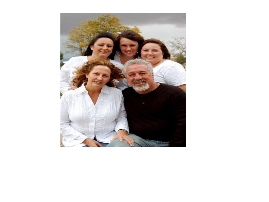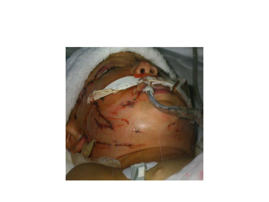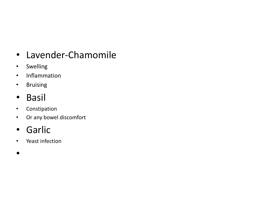### • Lavender-Chamomile

- Swelling
- Inflammation
- Bruising
- Basil
- Constipation
- Or any bowel discomfort
- Garlic
- Yeast infection
- •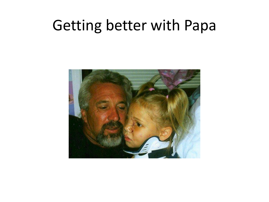# Getting better with Papa

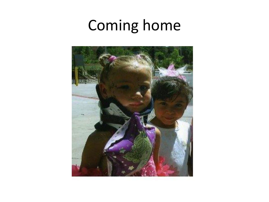# Coming home

![](_page_35_Picture_1.jpeg)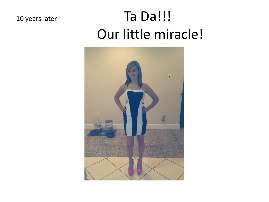# 10 years later Ta Da!!! Our little miracle!

![](_page_36_Picture_2.jpeg)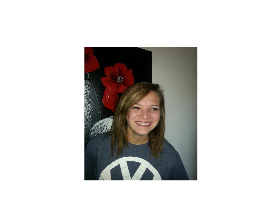![](_page_37_Picture_0.jpeg)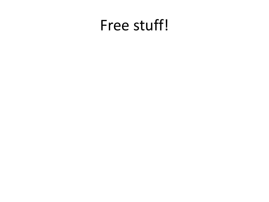# Free stuff!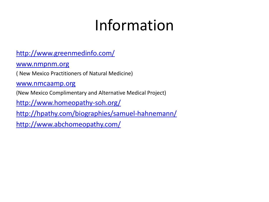# Information

#### <http://www.greenmedinfo.com/>

[www.nmpnm.org](http://www.nmpnm.org/)

( New Mexico Practitioners of Natural Medicine)

[www.nmcaamp.org](http://www.nmcaamp.org/)

(New Mexico Complimentary and Alternative Medical Project)

<http://www.homeopathy-soh.org/>

<http://hpathy.com/biographies/samuel-hahnemann/>

<http://www.abchomeopathy.com/>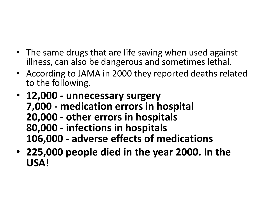- The same drugs that are life saving when used against illness, can also be dangerous and sometimes lethal.
- According to JAMA in 2000 they reported deaths related to the following.
- **12,000 - unnecessary surgery 7,000 - medication errors in hospital 20,000 - other errors in hospitals 80,000 - infections in hospitals 106,000 - adverse effects of medications**
- **225,000 people died in the year 2000. In the USA!**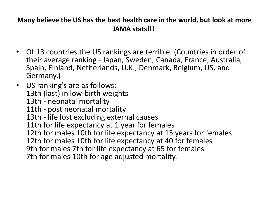#### **Many believe the US has the best health care in the world, but look at more JAMA stats!!!**

• Of 13 countries the US rankings are terrible. (Countries in order of their average ranking - Japan, Sweden, Canada, France, Australia, Spain, Finland, Netherlands, U.K., Denmark, Belgium, US, and Germany.)

• US ranking's are as follows: 13th (last) in low-birth weights 13th - neonatal mortality 11th - post neonatal mortality 13th - life lost excluding external causes 11th for life expectancy at 1 year for females 12th for males 10th for life expectancy at 15 years for females 12th for males 10th for life expectancy at 40 for females 9th for males 7th for life expectancy at 65 for females 7th for males 10th for age adjusted mortality.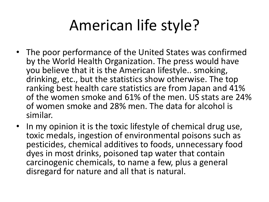# American life style?

- The poor performance of the United States was confirmed by the World Health Organization. The press would have you believe that it is the American lifestyle.. smoking, drinking, etc., but the statistics show otherwise. The top ranking best health care statistics are from Japan and 41% of the women smoke and 61% of the men. US stats are 24% of women smoke and 28% men. The data for alcohol is similar.
- In my opinion it is the toxic lifestyle of chemical drug use, toxic medals, ingestion of environmental poisons such as pesticides, chemical additives to foods, unnecessary food dyes in most drinks, poisoned tap water that contain carcinogenic chemicals, to name a few, plus a general disregard for nature and all that is natural.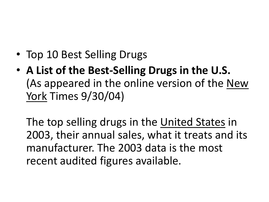- Top 10 Best Selling Drugs
- **A List of the Best-Selling Drugs in the U.S.** (As appeared in the online version of the New York Times 9/30/04)

The top selling drugs in the United States in 2003, their annual sales, what it treats and its manufacturer. The 2003 data is the most recent audited figures available.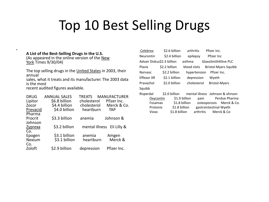### Top 10 Best Selling Drugs

#### **A List of the Best-Selling Drugs in the U.S.**

(As appeared in the online version of the New York Times 9/30/04)

The top selling drugs in the United States in 2003, their annual

sales, what it treats and its manufacturer. The 2003 data is the most

recent audited figures available.

•

| <b>MANUFACTURER</b>        |
|----------------------------|
| Pfizer Inc.                |
| cholesterol<br>Merck & Co. |
| heartburn<br><b>TAP</b>    |
|                            |
| Johnson &                  |
|                            |
| mental illness Eli Lilly & |
|                            |
| Amgen                      |
| Merck &<br>heartburn       |
|                            |
| Pfizer Inc.                |
|                            |

| Celebrex                   | \$2.6 billion | arthritis     | Pfizer Inc.                     |                             |
|----------------------------|---------------|---------------|---------------------------------|-----------------------------|
| Neurontin                  | \$2.4 billion | epilepsy      | Pfizer Inc                      |                             |
| Advair Diskus\$2.3 billion |               | asthma        | GlaxoSmithKline PLC             |                             |
| Plavix                     | \$2.2 billion | blood clots   |                                 | <b>Bristol-Myers Squibb</b> |
| <b>Norvasc</b>             | \$2.2 billion | hypertension  | Pfizer Inc.                     |                             |
| Effexor XR                 | \$2.1 billion | depression    | Wyeth                           |                             |
| Pravachol                  | \$2.0 billion | cholesterol   | <b>Bristol-Myers</b>            |                             |
| Squibb                     |               |               |                                 |                             |
| Risperdal                  | \$2.0 billion |               | mental illness Johnson & ohnson |                             |
| Oxycontin                  |               | \$1.9 billion | pain                            | Perdue Pharma               |
| Fosamax                    |               | \$1.8 billion |                                 | osteoporosis Merck & Co.    |
| Protonix                   |               | \$1.8 billion | gastrointestinal Wyeth          |                             |
| Vioxx                      | S1.8 billion  |               | arthritis                       | Merck & Co                  |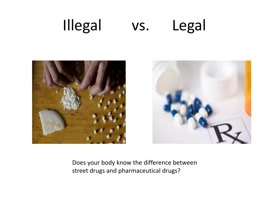# Illegal vs. Legal

![](_page_45_Picture_1.jpeg)

![](_page_45_Picture_2.jpeg)

Does your body know the difference between street drugs and pharmaceutical drugs?